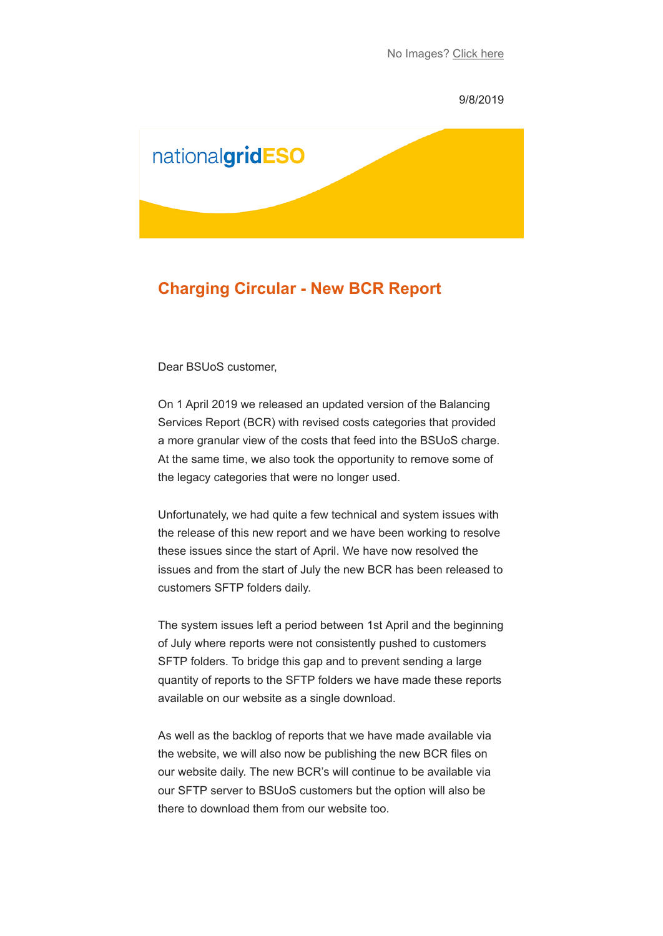#### 9/8/2019



# **Charging Circular - New BCR Report**

Dear BSUoS customer,

On 1 April 2019 we released an updated version of the Balancing Services Report (BCR) with revised costs categories that provided a more granular view of the costs that feed into the BSUoS charge. At the same time, we also took the opportunity to remove some of the legacy categories that were no longer used.

Unfortunately, we had quite a few technical and system issues with the release of this new report and we have been working to resolve these issues since the start of April. We have now resolved the issues and from the start of July the new BCR has been released to customers SFTP folders daily.

The system issues left a period between 1st April and the beginning of July where reports were not consistently pushed to customers SFTP folders. To bridge this gap and to prevent sending a large quantity of reports to the SFTP folders we have made these reports available on our website as a single download.

As well as the backlog of reports that we have made available via the website, we will also now be publishing the new BCR files on our website daily. The new BCR's will continue to be available via our SFTP server to BSUoS customers but the option will also be there to download them from our website too.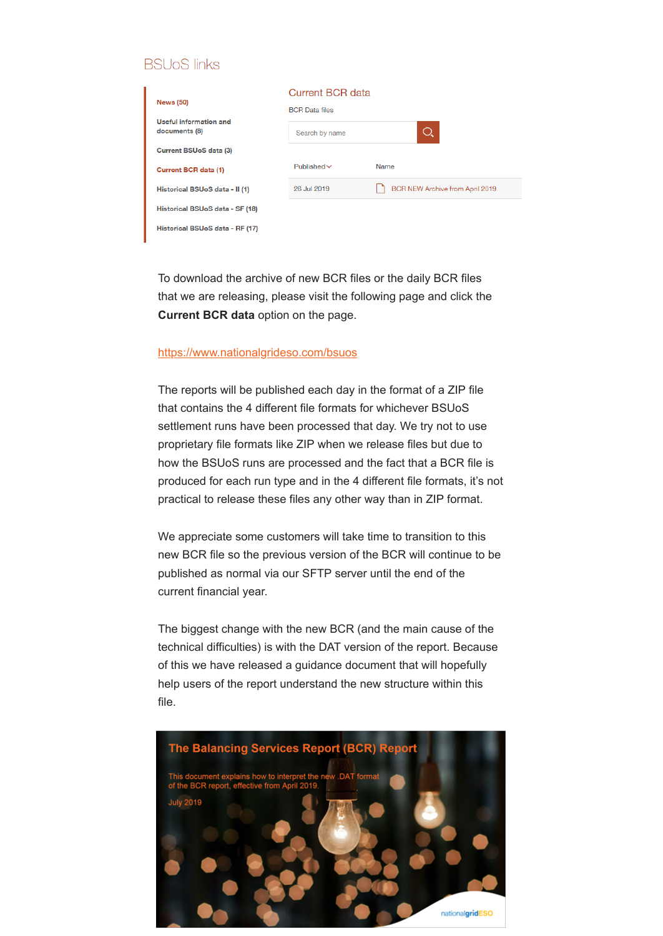# **BSU<sub>O</sub>S** links

|                                         | <b>Current BCR data</b> |                                 |
|-----------------------------------------|-------------------------|---------------------------------|
| <b>News (50)</b>                        | <b>BCR</b> Data files   |                                 |
| Useful information and<br>documents (8) | Search by name          | O.                              |
| Current BSUoS data (3)                  |                         |                                 |
| Current BCR data (1)                    | Published $\vee$        | Name                            |
| Historical BSUoS data - II (1)          | 26 Jul 2019             | BCR NEW Archive from April 2019 |
| Historical BSUoS data - SF (18)         |                         |                                 |
| Historical BSUoS data - RF (17)         |                         |                                 |

To download the archive of new BCR files or the daily BCR files that we are releasing, please visit the following page and click the **Current BCR data** option on the page.

### [https://www.nationalgrideso.com/bsuos](https://subscribers.nationalgrid.co.uk/t/d-l-xlyhttk-jibzjtjr-r/)

The reports will be published each day in the format of a ZIP file that contains the 4 different file formats for whichever BSUoS settlement runs have been processed that day. We try not to use proprietary file formats like ZIP when we release files but due to how the BSUoS runs are processed and the fact that a BCR file is produced for each run type and in the 4 different file formats, it's not practical to release these files any other way than in ZIP format.

We appreciate some customers will take time to transition to this new BCR file so the previous version of the BCR will continue to be published as normal via our SFTP server until the end of the current financial year.

The biggest change with the new BCR (and the main cause of the technical difficulties) is with the DAT version of the report. Because of this we have released a guidance document that will hopefully help users of the report understand the new structure within this file.